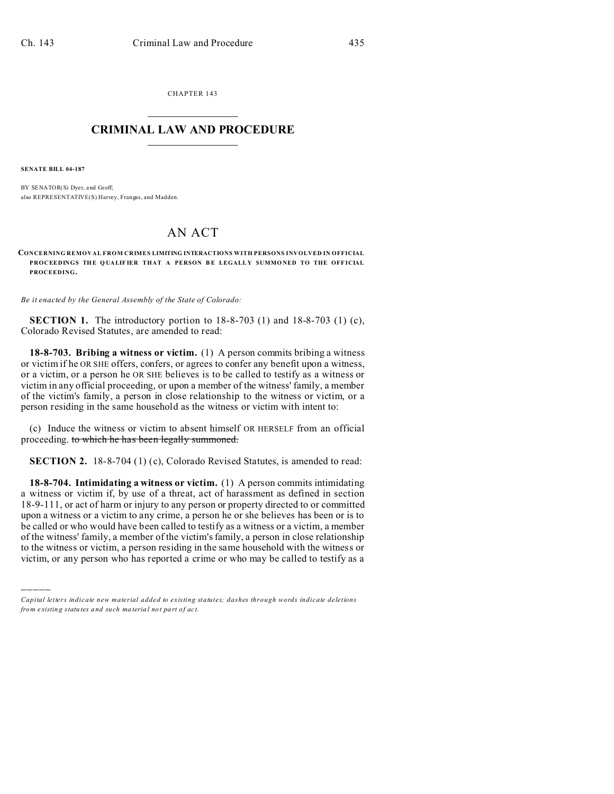CHAPTER 143  $\overline{\phantom{a}}$  , where  $\overline{\phantom{a}}$ 

## **CRIMINAL LAW AND PROCEDURE**  $\_$   $\_$   $\_$   $\_$   $\_$   $\_$   $\_$   $\_$   $\_$   $\_$

**SENATE BILL 04-187**

)))))

BY SENATOR(S) Dyer, and Groff; also REPRESENTATIVE(S) Harvey, Frangas, and Madden.

## AN ACT

**CONCERNING REMOVAL FROM CRIMES LIMITING INTERACTIONS WITH PERSONS INVOLVED IN OFFICIAL PROCEEDINGS THE Q UALIF IER THAT A PERSON B E LEGALL Y SUMMO NED TO THE OFF ICIAL PROCEEDING.**

*Be it enacted by the General Assembly of the State of Colorado:*

**SECTION 1.** The introductory portion to 18-8-703 (1) and 18-8-703 (1) (c), Colorado Revised Statutes, are amended to read:

**18-8-703. Bribing a witness or victim.** (1) A person commits bribing a witness or victim if he OR SHE offers, confers, or agrees to confer any benefit upon a witness, or a victim, or a person he OR SHE believes is to be called to testify as a witness or victim in any official proceeding, or upon a member of the witness' family, a member of the victim's family, a person in close relationship to the witness or victim, or a person residing in the same household as the witness or victim with intent to:

(c) Induce the witness or victim to absent himself OR HERSELF from an official proceeding. to which he has been legally summoned.

**SECTION 2.** 18-8-704 (1) (c), Colorado Revised Statutes, is amended to read:

**18-8-704. Intimidating a witness or victim.** (1) A person commits intimidating a witness or victim if, by use of a threat, act of harassment as defined in section 18-9-111, or act of harm or injury to any person or property directed to or committed upon a witness or a victim to any crime, a person he or she believes has been or is to be called or who would have been called to testify as a witness or a victim, a member of the witness' family, a member of the victim's family, a person in close relationship to the witness or victim, a person residing in the same household with the witness or victim, or any person who has reported a crime or who may be called to testify as a

*Capital letters indicate new material added to existing statutes; dashes through words indicate deletions from e xistin g statu tes a nd such ma teria l no t pa rt of ac t.*